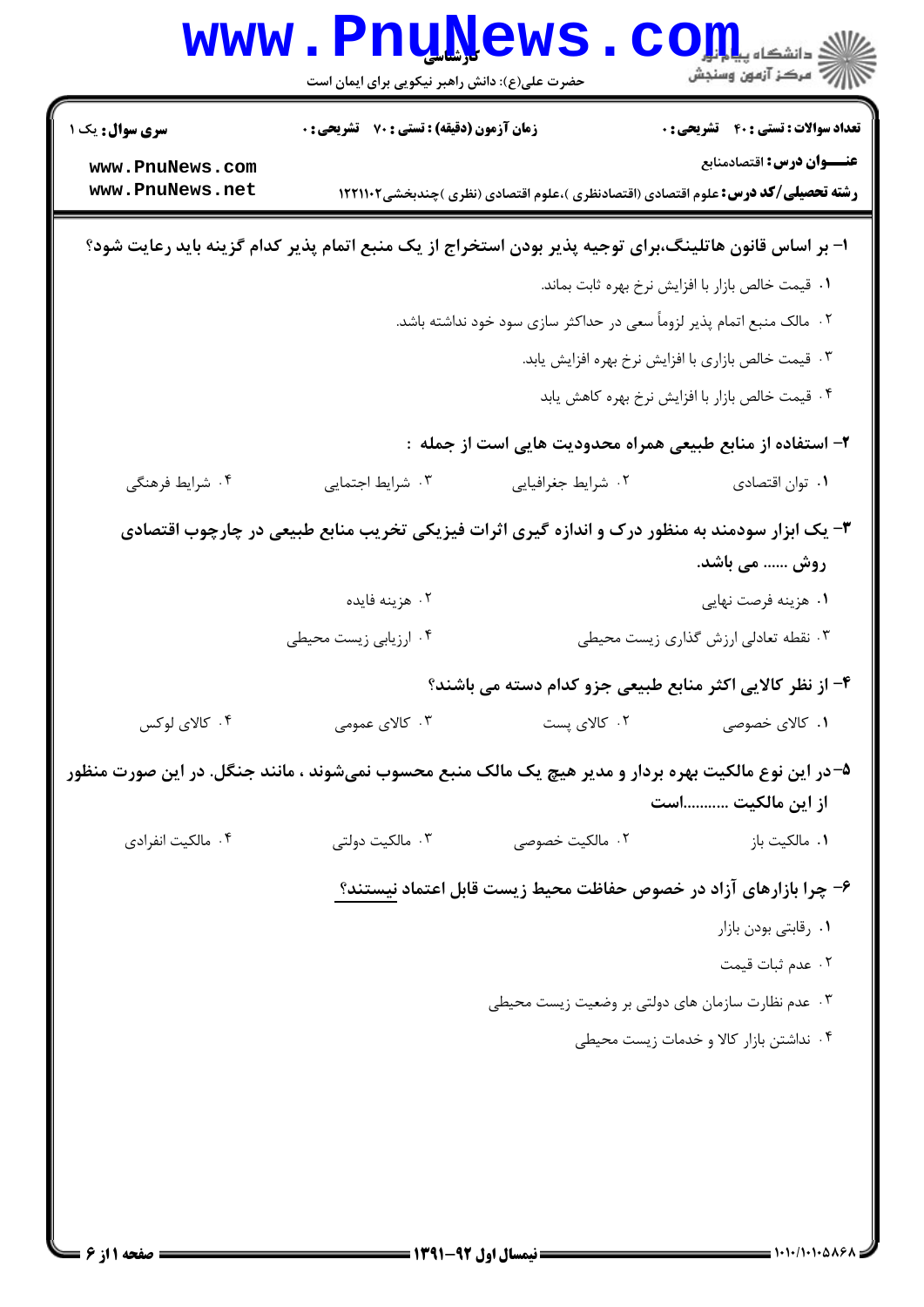|                                                                                                      | <b>www.Pnu̯Ņews</b><br>حضرت علی(ع): دانش راهبر نیکویی برای ایمان است                                   |                                                                                                                               | ري دانشڪاه پ <b>يا ۾ لور</b><br>ا∛ مرڪز آزمون وسنڊش                                      |  |
|------------------------------------------------------------------------------------------------------|--------------------------------------------------------------------------------------------------------|-------------------------------------------------------------------------------------------------------------------------------|------------------------------------------------------------------------------------------|--|
| <b>سری سوال :</b> یک ۱<br>www.PnuNews.com                                                            | زمان آزمون (دقیقه) : تستی : 70 گشریحی : 0                                                              |                                                                                                                               | <b>تعداد سوالات : تستي : 40 - تشريحي : 0</b><br>عنـــوان درس: اقتصادمنابع                |  |
| www.PnuNews.net                                                                                      |                                                                                                        |                                                                                                                               | <b>رشته تحصیلی/کد درس:</b> علوم اقتصادی (اقتصادنظری )،علوم اقتصادی (نظری )چندبخشی1۲۲۱۱۰۲ |  |
|                                                                                                      | ا– بر اساس قانون هاتلینگ،برای توجیه پذیر بودن استخراج از یک منبع اتمام پذیر کدام گزینه باید رعایت شود؟ |                                                                                                                               |                                                                                          |  |
|                                                                                                      |                                                                                                        |                                                                                                                               | ٠١ قيمت خالص بازار با افزايش نرخ بهره ثابت بماند.                                        |  |
|                                                                                                      |                                                                                                        | ۰۲ مالک منبع اتمام پذیر لزوماً سعی در حداکثر سازی سود خود نداشته باشد.<br>۰۳ قیمت خالص بازاری با افزایش نرخ بهره افزایش یابد. |                                                                                          |  |
|                                                                                                      |                                                                                                        |                                                                                                                               |                                                                                          |  |
|                                                                                                      |                                                                                                        |                                                                                                                               | ۰۴ قیمت خالص بازار با افزایش نرخ بهره کاهش یابد                                          |  |
|                                                                                                      |                                                                                                        | ۲– استفاده از منابع طبیعی همراه محدودیت هایی است از جمله :                                                                    |                                                                                          |  |
| ۰۴ شرایط فرهنگی                                                                                      | ۰۳ شرایط اجتمایی                                                                                       | ۰۲ شرایط جغرافیایی                                                                                                            | ٠١ توان اقتصادي                                                                          |  |
|                                                                                                      | ۳- یک ابزار سودمند به منظور درک و اندازه گیری اثرات فیزیکی تخریب منابع طبیعی در چارچوب اقتصادی         |                                                                                                                               |                                                                                          |  |
|                                                                                                      |                                                                                                        |                                                                                                                               | روش  می باشد.                                                                            |  |
|                                                                                                      | ۰۲ هزینه فایده                                                                                         |                                                                                                                               | ۰۱ هزينه فرصت نهايي                                                                      |  |
|                                                                                                      | ۰۴ ارزیابی زیست محیطی                                                                                  |                                                                                                                               | ۰۳ نقطه تعادلی ارزش گذاری زیست محیطی                                                     |  |
|                                                                                                      |                                                                                                        |                                                                                                                               | ۴- از نظر کالایی اکثر منابع طبیعی جزو کدام دسته می باشند؟                                |  |
| ۰۴ کالای لوکس                                                                                        | ۰۳ کالای عمومی                                                                                         | ۰۲ کالای پست                                                                                                                  | ۰۱ کالای خصوصی                                                                           |  |
| ۵–در این نوع مالکیت بهره بردار و مدیر هیچ یک مالک منبع محسوب نمیشوند ، مانند جنگل. در این صورت منظور |                                                                                                        |                                                                                                                               | از این مالکیت است                                                                        |  |
| ۰۴ مالکیت انفرادی                                                                                    | ۰۳ مالکیت دولتی                                                                                        | ۰۲ مالکیت خصوصی                                                                                                               | ۰۱ مالکیت باز                                                                            |  |
|                                                                                                      |                                                                                                        |                                                                                                                               | ۶– چرا بازارهای آزاد در خصوص حفاظت محیط زیست قابل اعتماد نیستند؟                         |  |
|                                                                                                      |                                                                                                        |                                                                                                                               | ۰۱ رقابتی بودن بازار                                                                     |  |
|                                                                                                      |                                                                                                        |                                                                                                                               | ٠٢ عدم ثبات قيمت                                                                         |  |
|                                                                                                      |                                                                                                        | ۰۳ عدم نظارت سازمان های دولتی بر وضعیت زیست محیطی                                                                             |                                                                                          |  |
|                                                                                                      |                                                                                                        |                                                                                                                               | ۰۴ نداشتن بازار کالا و خدمات زیست محیطی                                                  |  |
|                                                                                                      |                                                                                                        |                                                                                                                               |                                                                                          |  |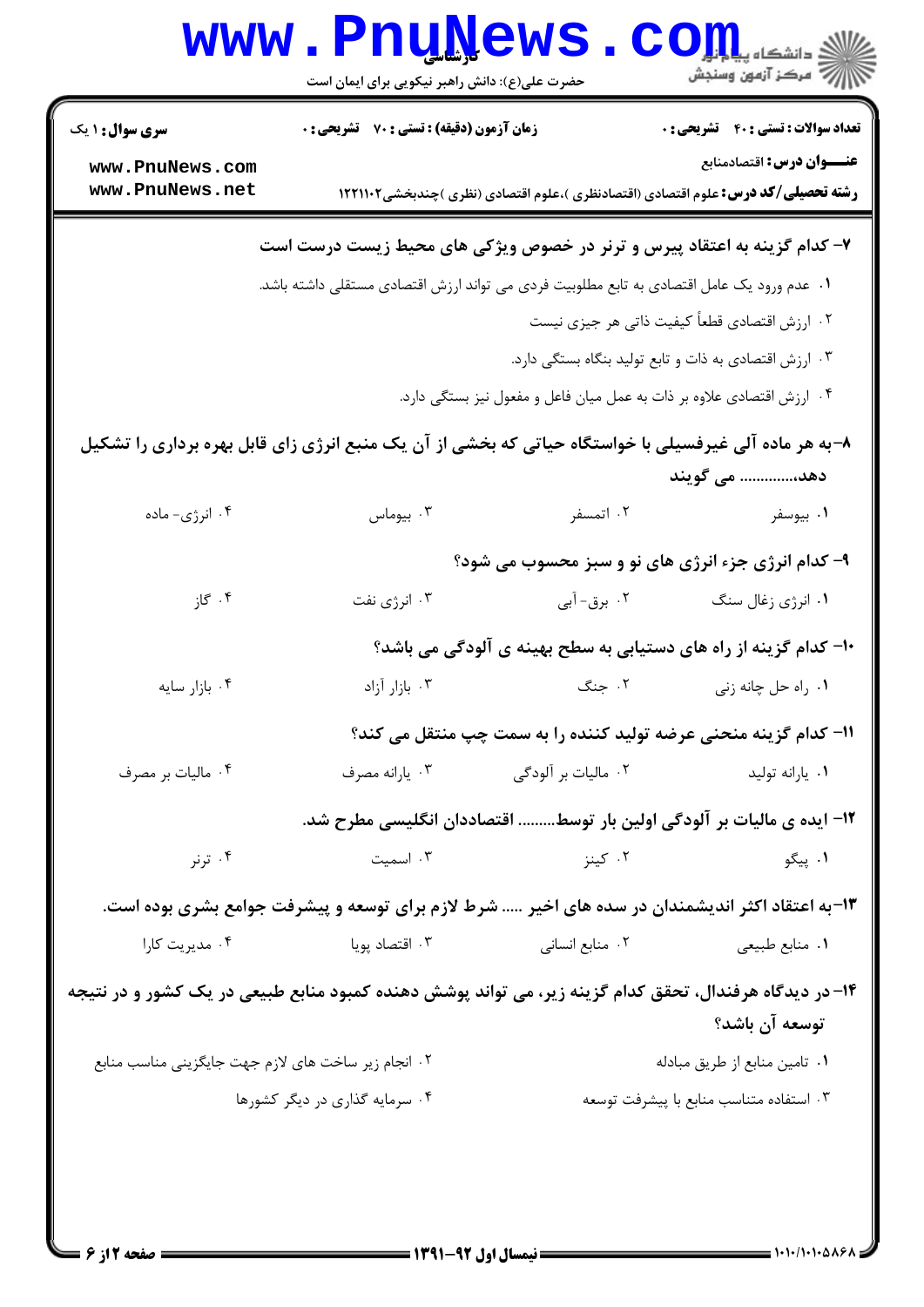|                                                                                                                        | <b>www.PnuNews</b><br>حضرت علی(ع): دانش راهبر نیکویی برای ایمان است   |                     | ي دانشڪاه پي <mark>ا باب</mark> ر<br>رآ مرڪز آزمون وسنڊش                                                              |
|------------------------------------------------------------------------------------------------------------------------|-----------------------------------------------------------------------|---------------------|-----------------------------------------------------------------------------------------------------------------------|
| <b>سری سوال : ۱ یک</b>                                                                                                 | زمان آزمون (دقیقه) : تستی : 70 گشریحی : 0                             |                     | <b>تعداد سوالات : تستی : 40 ٪ تشریحی : 0</b>                                                                          |
| www.PnuNews.com<br>www.PnuNews.net                                                                                     |                                                                       |                     | عنـــوان درس: اقتصادمنابع<br><b>رشته تحصیلی/کد درس:</b> علوم اقتصادی (اقتصادنظری )،علوم اقتصادی (نظری )چندبخشی1۲۲۱۱۰۲ |
|                                                                                                                        |                                                                       |                     | ۷- کدام گزینه به اعتقاد پیرس و ترنر در خصوص ویژکی های محیط زیست درست است                                              |
| ۰۱ عدم ورود یک عامل اقتصادی به تابع مطلوبیت فردی می تواند ارزش اقتصادی مستقلی داشته باشد.                              |                                                                       |                     |                                                                                                                       |
|                                                                                                                        | ۰۲ ارزش اقتصادی قطعاً کیفیت ذاتی هر جیزی نیست                         |                     |                                                                                                                       |
|                                                                                                                        |                                                                       |                     | ۰۳ ارزش اقتصادی به ذات و تابع تولید بنگاه بستگی دارد.                                                                 |
|                                                                                                                        |                                                                       |                     | ۰۴ ارزش اقتصادی علاوه بر ذات به عمل میان فاعل و مفعول نیز بستگی دارد.                                                 |
| ۸-به هر ماده آلی غیرفسیلی با خواستگاه حیاتی که بخشی از آن یک منبع انرژی زای قابل بهره برداری را تشکیل<br>دهد، می گویند |                                                                       |                     |                                                                                                                       |
| ۰۴ انرژی- ماده                                                                                                         | بيوماس $\cdot$ ۳                                                      | ۰۲ اتمسفر           | ۰۱ بیوسفر                                                                                                             |
|                                                                                                                        |                                                                       |                     | ۹- کدام انرژی جزء انرژی های نو و سبز محسوب می شود؟                                                                    |
| ۰۴ گاز                                                                                                                 | ۰۳ انرژی نفت                                                          | ۰۲ برق- آبی         | ۰۱ انرژی زغال سنگ                                                                                                     |
|                                                                                                                        |                                                                       |                     | ∙۱- کدام گزینه از راه های دستیابی به سطح بهینه ی آلودگی می باشد؟                                                      |
| ۰۴ بازار سايه                                                                                                          | ۰۳ بازار آزاد                                                         | ۰۲ جنگ              | ٠١. راه حل چانه زني                                                                                                   |
|                                                                                                                        |                                                                       |                     | 11- کدام گزینه منحنی عرضه تولید کننده را به سمت چپ منتقل می کند؟                                                      |
| ۰۴ ماليات بر مصرف                                                                                                      | ۰۳ يارانه مصرف                                                        | ۰۲ مالیات بر آلودگی | ۰۱ يارانه توليد                                                                                                       |
|                                                                                                                        | ۱۲– ایده ی مالیات بر آلودگی اولین بار توسط اقتصاددان انگلیسی مطرح شد. |                     |                                                                                                                       |
| ۰۴ ترنر                                                                                                                | ۰۳ اسمیت                                                              | ۰۲ کینز             | ۰۱ پیگو                                                                                                               |
| ۱۳-به اعتقاد اکثر اندیشمندان در سده های اخیر … شرط لازم برای توسعه و پیشرفت جوامع بشری بوده است.                       |                                                                       |                     |                                                                                                                       |
| ۰۴ مدیریت کارا                                                                                                         | ۰۳ اقتصاد پویا                                                        | ۰۲ منابع انسانی     | ۰۱ منابع طبیعی                                                                                                        |
| ۱۴- در دیدگاه هرفندال، تحقق کدام گزینه زیر، می تواند پوشش دهنده کمبود منابع طبیعی در یک کشور و در نتیجه                |                                                                       |                     | توسعه آن باشد؟                                                                                                        |
| ۰۲ انجام زیر ساخت های لازم جهت جایگزینی مناسب منابع                                                                    |                                                                       |                     | ٠١ تامين منابع از طريق مبادله                                                                                         |
|                                                                                                                        | ۰۴ سرمایه گذاری در دیگر کشورها                                        |                     | ٠٣ استفاده متناسب منابع با پيشرفت توسعه                                                                               |
|                                                                                                                        |                                                                       |                     |                                                                                                                       |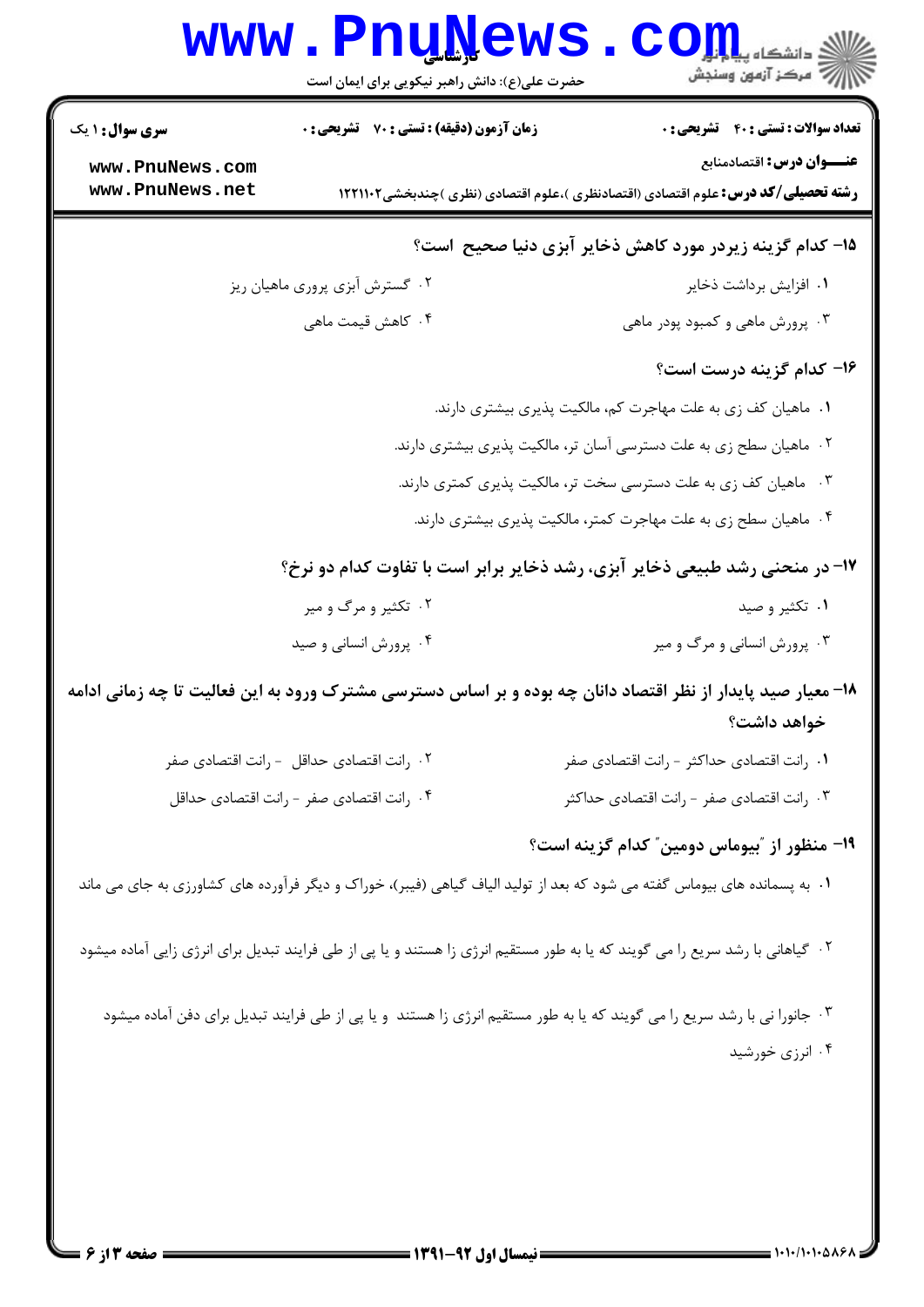|                                                              | www.PnuNews.<br>حضرت علی(ع): دانش راهبر نیکویی برای ایمان است |                                                                                                                                                                     |
|--------------------------------------------------------------|---------------------------------------------------------------|---------------------------------------------------------------------------------------------------------------------------------------------------------------------|
| <b>سری سوال : ۱ یک</b><br>www.PnuNews.com<br>www.PnuNews.net | <b>زمان آزمون (دقیقه) : تستی : 70 ٪ تشریحی : 0</b>            | <b>تعداد سوالات : تستی : 40 قشریحی : 0</b><br>عنـــوان درس: اقتصادمنابع<br><b>رشته تحصیلی/کد درس:</b> علوم اقتصادی (اقتصادنظری )،علوم اقتصادی (نظری )چندبخشی1۲۲۱۱۰۲ |
|                                                              |                                                               |                                                                                                                                                                     |
|                                                              |                                                               | ۱۵– کدام گزینه زیردر مورد کاهش ذخایر آبزی دنیا صحیح است؟                                                                                                            |
|                                                              | ۰۲ گسترش آبزی پروری ماهیان ریز                                | ۰۱ افزایش برداشت ذخایر                                                                                                                                              |
|                                                              | ۰۴ کاهش قیمت ماهی                                             | ۰۳ پرورش ماهی و کمبود پودر ماهی                                                                                                                                     |
|                                                              |                                                               | ۱۶- کدام گزینه درست است؟                                                                                                                                            |
|                                                              |                                                               | ۰۱ ماهیان کف زی به علت مهاجرت کم، مالکیت پذیری بیشتری دارند.                                                                                                        |
|                                                              |                                                               | ۰۲ ماهیان سطح زی به علت دسترسی آسان تر، مالکیت پذیری بیشتری دارند.                                                                                                  |
|                                                              |                                                               | ۰۳ ماهیان کف زی به علت دسترسی سخت تر، مالکیت پذیری کمتری دارند.                                                                                                     |
|                                                              |                                                               | ۰۴ ماهیان سطح زی به علت مهاجرت کمتر، مالکیت پذیری بیشتری دارند.                                                                                                     |
|                                                              |                                                               | ۱۷- در منحنی رشد طبیعی ذخایر آبزی، رشد ذخایر برابر است با تفاوت کدام دو نرخ؟                                                                                        |
|                                                              | ۰۲ تکثیر و مرگ و میر                                          | ۰۱ تکثیر و صید                                                                                                                                                      |
|                                                              | ۰۴ پرورش انسانی و صید                                         | ۰۳ پرورش انسانی و مرگ و میر                                                                                                                                         |
|                                                              |                                                               | ۱۸- معیار صید پایدار از نظر اقتصاد دانان چه بوده و بر اساس دسترسی مشترک ورود به این فعالیت تا چه زمانی ادامه<br>خواهد داشت؟                                         |
|                                                              | ٠٢ رانت اقتصادي حداقل - رانت اقتصادي صفر                      | ٠١. رانت اقتصادي حداكثر - رانت اقتصادي صفر                                                                                                                          |
|                                                              | ۰۴ رانت اقتصادی صفر - رانت اقتصادی حداقل                      | ۰۳ رانت اقتصادی صفر - رانت اقتصادی حداکثر                                                                                                                           |
|                                                              |                                                               | ۱۹- منظور از "بیوماس دومین <sup>"</sup> کدام گزینه است؟                                                                                                             |
|                                                              |                                                               | ۰۱ به پسمانده های بیوماس گفته می شود که بعد از تولید الیاف گیاهی (فیبر)، خوراک و دیگر فرآورده های کشاورزی به جای می ماند                                            |
|                                                              |                                                               | ۰۲ گیاهانی با رشد سریع را می گویند که یا به طور مستقیم انرژی زا هستند و یا پی از طی فرایند تبدیل برای انرژی زایی آماده میشود                                        |
|                                                              |                                                               | ۰۳ جانورا نی با رشد سریع را می گویند که یا به طور مستقیم انرژی زا هستند  و یا پی از طی فرایند تبدیل برای دفن آماده میشود                                            |
|                                                              |                                                               | ۰۴ انرزی خورشید                                                                                                                                                     |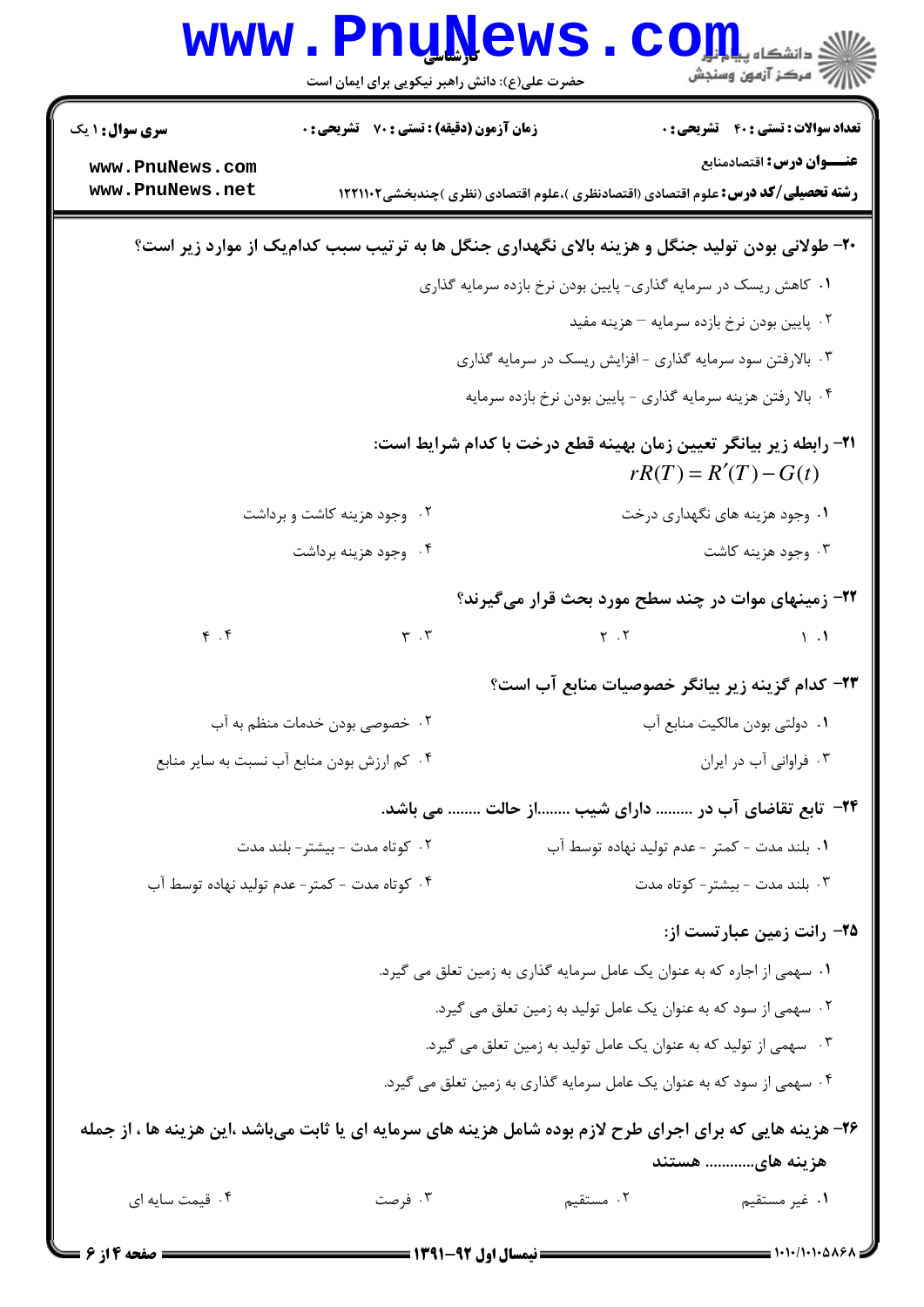|                                    | <b>www.PnuNews</b><br>حضرت علی(ع): دانش راهبر نیکویی برای ایمان است                                        |                     | ان دانشکاه پیا <mark>را بار</mark><br>اگر مرکز آزمون وسنجش                                                            |
|------------------------------------|------------------------------------------------------------------------------------------------------------|---------------------|-----------------------------------------------------------------------------------------------------------------------|
| <b>سری سوال :</b> ۱ یک             | زمان آزمون (دقیقه) : تستی : 70 ٪ تشریحی : 0                                                                |                     | <b>تعداد سوالات : تستی : ۴۰ ٪ تشریحی : 0</b>                                                                          |
| www.PnuNews.com<br>www.PnuNews.net |                                                                                                            |                     | عنـــوان درس: اقتصادمنابع<br><b>رشته تحصیلی/کد درس:</b> علوم اقتصادی (اقتصادنظری )،علوم اقتصادی (نظری )چندبخشی1۲۲۱۱۰۲ |
|                                    | ۲۰- طولانی بودن تولید جنگل و هزینه بالای نگهداری جنگل ها به ترتیب سبب کدامیک از موارد زیر است؟             |                     |                                                                                                                       |
|                                    |                                                                                                            |                     | ۰۱ کاهش ریسک در سرمایه گذاری- پایین بودن نرخ بازده سرمایه گذاری                                                       |
|                                    |                                                                                                            |                     | ۰۲ پایین بودن نرخ بازده سرمایه – هزینه مفید                                                                           |
|                                    |                                                                                                            |                     | ۰۳ بالارفتن سود سرمایه گذاری - افزایش ریسک در سرمایه گذاری                                                            |
|                                    |                                                                                                            |                     | ۰۴ بالا رفتن هزينه سرمايه گذاري - پايين بودن نرخ بازده سرمايه                                                         |
|                                    |                                                                                                            |                     | <b>۳۱- رابطه زیر بیانگر تعیین زمان بهینه قطع درخت با کدام شرایط است:</b><br>$rR(T) = R'(T) - G(t)$                    |
|                                    | ۰۲ وجود هزینه کاشت و برداشت                                                                                |                     | ۰۱ وجود هزینه های نگهداری درخت                                                                                        |
|                                    | ۰۴ وجود هزينه برداشت                                                                                       |                     | ۰۳ وجود هزينه كاشت                                                                                                    |
|                                    |                                                                                                            |                     | ۲۲- زمینهای موات در چند سطح مورد بحث قرار میگیرند؟                                                                    |
| $\mathfrak{f}$ . $\mathfrak{f}$    | $\mathbf{r}$ . $\mathbf{r}$                                                                                | $\gamma$ . $\gamma$ | $\mathcal{L}$ $\mathcal{L}$                                                                                           |
|                                    |                                                                                                            |                     | ۲۳- کدام گزینه زیر بیانگر خصوصیات منابع آب است؟                                                                       |
|                                    | ۰۲ خصوصی بودن خدمات منظم به آب                                                                             |                     | ۰۱ دولتی بودن مالکیت منابع آب                                                                                         |
|                                    | ۰۴ کم ارزش بودن منابع آب نسبت به سایر منابع                                                                |                     | ۰۳ فراوانی آب در ایران                                                                                                |
|                                    |                                                                                                            |                     | <b>۳۴</b> - تابع تقاضای آب در  دارای شیب از حالت  می باشد.                                                            |
|                                    | ۰۲ کوتاه مدت - بیشتر- بلند مدت                                                                             |                     | ۰۱ بلند مدت – کمتر – عدم تولید نهاده توسط آب                                                                          |
|                                    | ۰۴ کوتاه مدت - کمتر- عدم تولید نهاده توسط آب                                                               |                     | ۰۳ بلند مدت - بیشتر- کوتاه مدت                                                                                        |
|                                    |                                                                                                            |                     | ۲۵– رانت زمین عبارتست از:                                                                                             |
|                                    |                                                                                                            |                     | ۰۱ سهمی از اجاره که به عنوان یک عامل سرمایه گذاری به زمین تعلق می گیرد.                                               |
|                                    |                                                                                                            |                     | ۰۲ سهمی از سود که به عنوان یک عامل تولید به زمین تعلق می گیرد.                                                        |
|                                    |                                                                                                            |                     | ۰۳ سهمی از تولید که به عنوان یک عامل تولید به زمین تعلق می گیرد.                                                      |
|                                    |                                                                                                            |                     | ۰۴ سهمی از سود که به عنوان یک عامل سرمایه گذاری به زمین تعلق می گیرد.                                                 |
|                                    | ۲۶- هزینه هایی که برای اجرای طرح لازم بوده شامل هزینه های سرمایه ای یا ثابت میباشد ،این هزینه ها ، از جمله |                     |                                                                                                                       |
| ۰۴ قیمت سایه ای                    | ۰۳ فرصت                                                                                                    |                     | هزینه های هستند                                                                                                       |
|                                    |                                                                                                            | ۰۲ مستقیم           | ۰۱ غیر مستقیم                                                                                                         |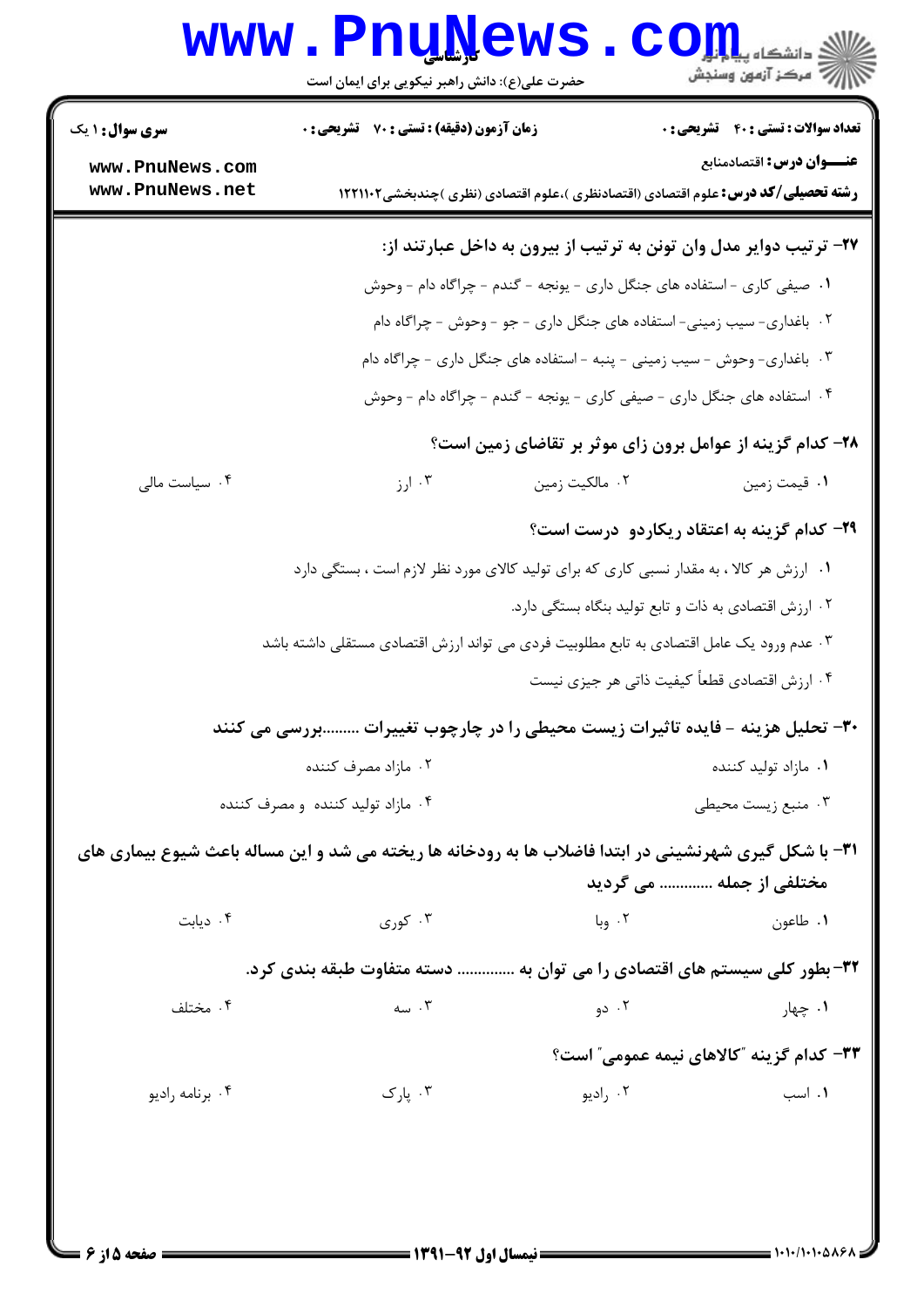## Www.PnuNews.com

| <b>سری سوال : ۱ یک</b>                                                   | زمان آزمون (دقیقه) : تستی : 70 گشریحی : 0                                                              |                | <b>تعداد سوالات : تستی : 40 ٪ تشریحی : 0</b>                                                                          |
|--------------------------------------------------------------------------|--------------------------------------------------------------------------------------------------------|----------------|-----------------------------------------------------------------------------------------------------------------------|
| www.PnuNews.com<br>www.PnuNews.net                                       |                                                                                                        |                | عنـــوان درس: اقتصادمنابع<br><b>رشته تحصیلی/کد درس:</b> علوم اقتصادی (اقتصادنظری )،علوم اقتصادی (نظری )چندبخشی1۲۲۱۱۰۲ |
|                                                                          |                                                                                                        |                | ۲۷- ترتیب دوایر مدل وان تونن به ترتیب از بیرون به داخل عبارتند از:                                                    |
|                                                                          |                                                                                                        |                | ۱. صیفی کاری - استفاده های جنگل داری - یونجه - گندم - چراگاه دام - وحوش                                               |
|                                                                          |                                                                                                        |                | ۲. باغداری- سیب زمینی- استفاده های جنگل داری - جو - وحوش - چراگاه دام                                                 |
|                                                                          |                                                                                                        |                | ۰۳ . باغداری- وحوش - سیب زمینی - پنبه - استفاده های جنگل داری - چراگاه دام                                            |
|                                                                          |                                                                                                        |                | ۰۴ استفاده های جنگل داری - صیفی کاری - یونجه - گندم - چراگاه دام - وحوش                                               |
|                                                                          |                                                                                                        |                | ۲۸- کدام گزینه از عوامل برون زای موثر بر تقاضای زمین است؟                                                             |
| ۰۴ سیاست مالی                                                            | ۰۳ ارز                                                                                                 | ۰۲ مالکیت زمین | ۰۱ قیمت زمین                                                                                                          |
|                                                                          |                                                                                                        |                | <b>۲۹- کدام گزینه به اعتقاد ریکاردو درست است</b> ؟                                                                    |
|                                                                          | ۰۱ ارزش هر کالا ، به مقدار نسبی کاری که برای تولید کالای مورد نظر لازم است ، بستگی دارد                |                |                                                                                                                       |
|                                                                          |                                                                                                        |                | ۰۲ ارزش اقتصادی به ذات و تابع تولید بنگاه بستگی دارد.                                                                 |
|                                                                          | ۰۳ عدم ورود یک عامل اقتصادی به تابع مطلوبیت فردی می تواند ارزش اقتصادی مستقلی داشته باشد               |                |                                                                                                                       |
|                                                                          |                                                                                                        |                | ۰۴ ارزش اقتصادي قطعاً كيفيت ذاتي هر جيزي نيست                                                                         |
|                                                                          | ۳۰- تحلیل هزینه - فایده تاثیرات زیست محیطی را در چارچوب تغییرات بررسی می کنند                          |                |                                                                                                                       |
|                                                                          | ۰۲ مازاد مصرف کننده                                                                                    |                | ۰۱ مازاد تولید کننده                                                                                                  |
|                                                                          | ۰۴ مازاد تولید کننده و مصرف کننده                                                                      |                | ۰۳ منبع زیست محیطی                                                                                                    |
|                                                                          | 31- با شکل گیری شهرنشینی در ابتدا فاضلاب ها به رودخانه ها ریخته می شد و این مساله باعث شیوع بیماری های |                |                                                                                                                       |
|                                                                          |                                                                                                        |                | مختلفی از جمله  می گردید                                                                                              |
| ۰۴ دیابت                                                                 | ۰۳ کوری                                                                                                | ۰۲ وبا         | ۰۱ طاعون                                                                                                              |
| ۳۲- بطور کلی سیستم های اقتصادی را می توان به  دسته متفاوت طبقه بندی کرد. |                                                                                                        |                |                                                                                                                       |
| ۰۴ مختلف                                                                 | ۰۳ سه                                                                                                  | ۰۲ دو          | ۰۱ چهار                                                                                                               |
|                                                                          |                                                                                                        |                | ۳۳- کدام گزینه "کالاهای نیمه عمومی" است؟                                                                              |
| ۰۴ برنامه رادیو                                                          | ۰۳ پارک                                                                                                | ۰۲ رادیو       | ۰۱ اسب                                                                                                                |
|                                                                          |                                                                                                        |                |                                                                                                                       |